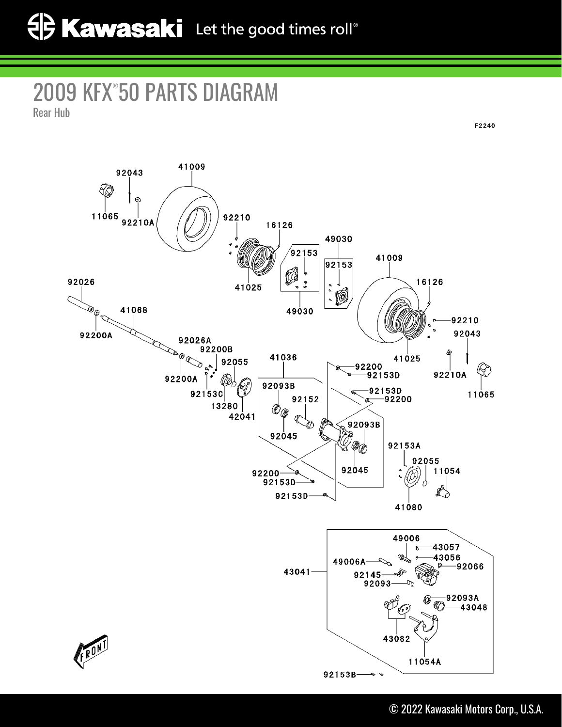## 2009 KFX® 50 PARTS DIAGRAM

Rear Hub

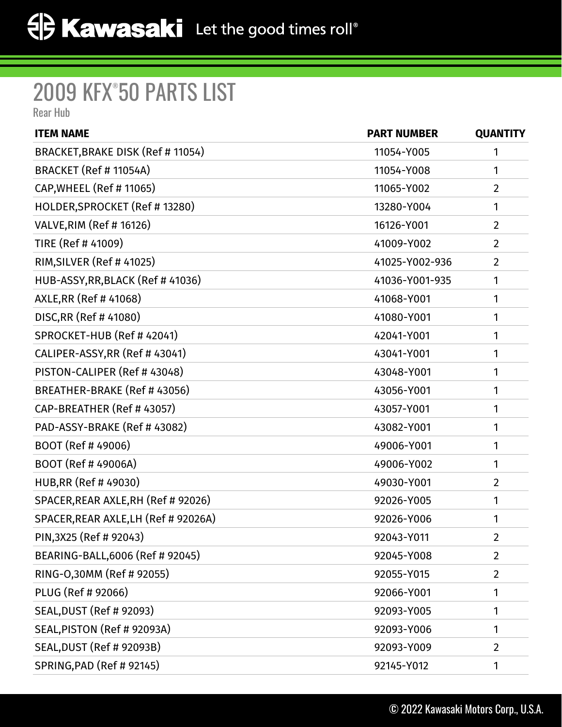## 2009 KFX® 50 PARTS LIST

Rear Hub

| <b>ITEM NAME</b>                     | <b>PART NUMBER</b> | <b>QUANTITY</b> |
|--------------------------------------|--------------------|-----------------|
| BRACKET, BRAKE DISK (Ref # 11054)    | 11054-Y005         | 1               |
| <b>BRACKET (Ref # 11054A)</b>        | 11054-Y008         | 1               |
| CAP, WHEEL (Ref #11065)              | 11065-Y002         | $\overline{2}$  |
| HOLDER, SPROCKET (Ref #13280)        | 13280-Y004         | 1               |
| <b>VALVE, RIM (Ref #16126)</b>       | 16126-Y001         | $\overline{2}$  |
| TIRE (Ref # 41009)                   | 41009-Y002         | $\overline{2}$  |
| RIM, SILVER (Ref #41025)             | 41025-Y002-936     | $\overline{2}$  |
| HUB-ASSY, RR, BLACK (Ref #41036)     | 41036-Y001-935     | 1               |
| AXLE, RR (Ref # 41068)               | 41068-Y001         | 1               |
| DISC, RR (Ref # 41080)               | 41080-Y001         | 1               |
| SPROCKET-HUB (Ref # 42041)           | 42041-Y001         | 1               |
| CALIPER-ASSY, RR (Ref # 43041)       | 43041-Y001         | 1               |
| PISTON-CALIPER (Ref # 43048)         | 43048-Y001         | 1               |
| BREATHER-BRAKE (Ref #43056)          | 43056-Y001         | 1               |
| CAP-BREATHER (Ref # 43057)           | 43057-Y001         | 1               |
| PAD-ASSY-BRAKE (Ref #43082)          | 43082-Y001         | 1               |
| BOOT (Ref #49006)                    | 49006-Y001         | 1               |
| BOOT (Ref #49006A)                   | 49006-Y002         | 1               |
| HUB, RR (Ref #49030)                 | 49030-Y001         | $\overline{2}$  |
| SPACER, REAR AXLE, RH (Ref # 92026)  | 92026-Y005         | 1               |
| SPACER, REAR AXLE, LH (Ref # 92026A) | 92026-Y006         | 1               |
| PIN, 3X25 (Ref # 92043)              | 92043-Y011         | $\overline{2}$  |
| BEARING-BALL, 6006 (Ref # 92045)     | 92045-Y008         | $\overline{2}$  |
| RING-0,30MM (Ref # 92055)            | 92055-Y015         | $\overline{2}$  |
| PLUG (Ref # 92066)                   | 92066-Y001         | 1               |
| <b>SEAL, DUST (Ref # 92093)</b>      | 92093-Y005         | 1               |
| SEAL, PISTON (Ref # 92093A)          | 92093-Y006         | 1               |
| SEAL, DUST (Ref # 92093B)            | 92093-Y009         | $\overline{2}$  |
| SPRING, PAD (Ref # 92145)            | 92145-Y012         | 1               |